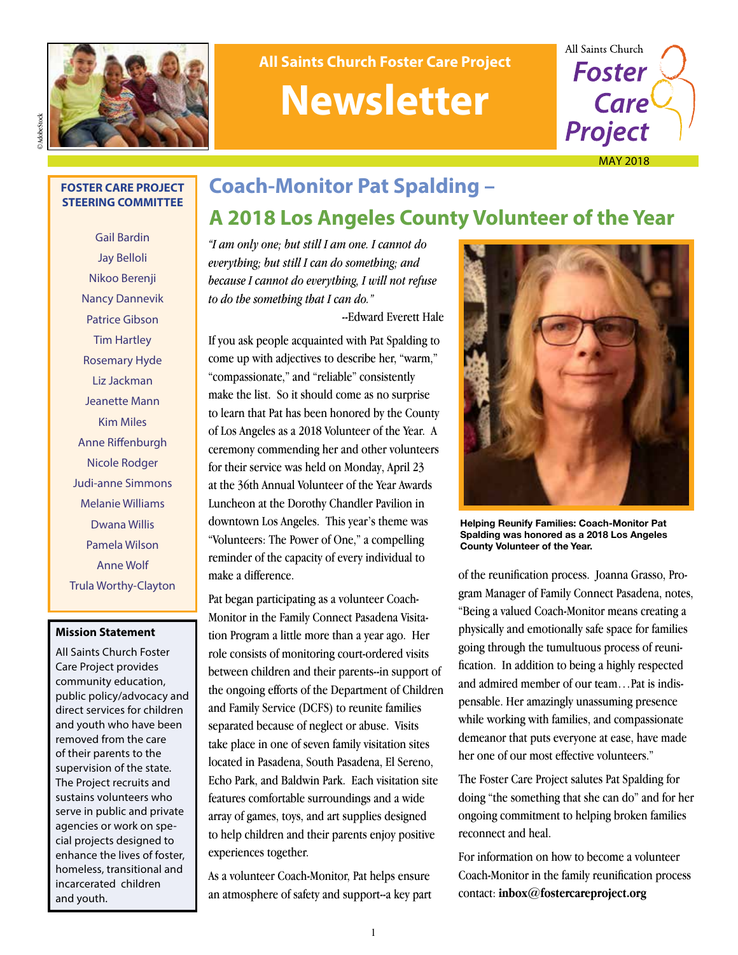



## ©AdobeStock

#### **FOSTER CARE PROJECT STEERING COMMITTEE**

Gail Bardin Jay Belloli Nikoo Berenji Nancy Dannevik Patrice Gibson Tim Hartley Rosemary Hyde Liz Jackman Jeanette Mann Kim Miles Anne Riffenburgh Nicole Rodger Judi-anne Simmons Melanie Williams Dwana Willis Pamela Wilson Anne Wolf Trula Worthy-Clayton

#### **Mission Statement**

All Saints Church Foster Care Project provides community education, public policy/advocacy and direct services for children and youth who have been removed from the care of their parents to the supervision of the state. The Project recruits and sustains volunteers who serve in public and private agencies or work on special projects designed to enhance the lives of foster, homeless, transitional and incarcerated children and youth.

### **Coach-Monitor Pat Spalding – A 2018 Los Angeles County Volunteer of the Year**

*"I am only one; but still I am one. I cannot do everything; but still I can do something; and because I cannot do everything, I will not refuse to do the something that I can do."* 

--Edward Everett Hale

If you ask people acquainted with Pat Spalding to come up with adjectives to describe her, "warm," "compassionate," and "reliable" consistently make the list. So it should come as no surprise to learn that Pat has been honored by the County of Los Angeles as a 2018 Volunteer of the Year. A ceremony commending her and other volunteers for their service was held on Monday, April 23 at the 36th Annual Volunteer of the Year Awards Luncheon at the Dorothy Chandler Pavilion in downtown Los Angeles. This year's theme was "Volunteers: The Power of One," a compelling reminder of the capacity of every individual to make a difference.

Pat began participating as a volunteer Coach-Monitor in the Family Connect Pasadena Visitation Program a little more than a year ago. Her role consists of monitoring court-ordered visits between children and their parents--in support of the ongoing efforts of the Department of Children and Family Service (DCFS) to reunite families separated because of neglect or abuse. Visits take place in one of seven family visitation sites located in Pasadena, South Pasadena, El Sereno, Echo Park, and Baldwin Park. Each visitation site features comfortable surroundings and a wide array of games, toys, and art supplies designed to help children and their parents enjoy positive experiences together.

As a volunteer Coach-Monitor, Pat helps ensure an atmosphere of safety and support--a key part



**Helping Reunify Families: Coach-Monitor Pat Spalding was honored as a 2018 Los Angeles County Volunteer of the Year.**

of the reunification process. Joanna Grasso, Program Manager of Family Connect Pasadena, notes, "Being a valued Coach-Monitor means creating a physically and emotionally safe space for families going through the tumultuous process of reunification. In addition to being a highly respected and admired member of our team…Pat is indispensable. Her amazingly unassuming presence while working with families, and compassionate demeanor that puts everyone at ease, have made her one of our most effective volunteers."

The Foster Care Project salutes Pat Spalding for doing "the something that she can do" and for her ongoing commitment to helping broken families reconnect and heal.

For information on how to become a volunteer Coach-Monitor in the family reunification process contact: **inbox@fostercareproject.org**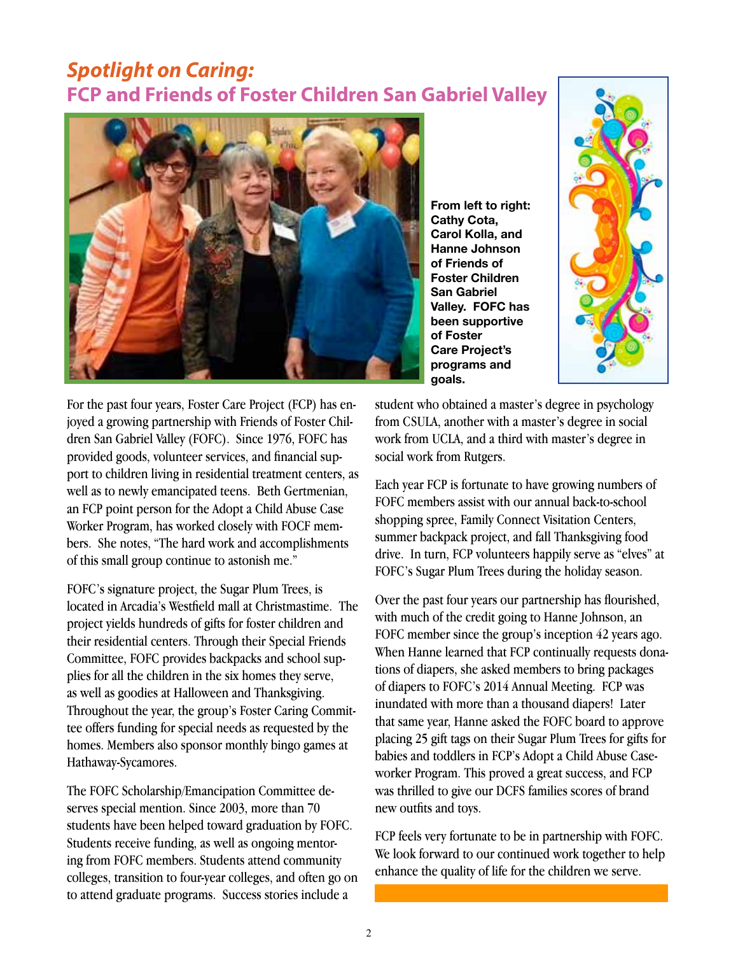#### *Spotlight on Caring:*  **FCP and Friends of Foster Children San Gabriel Valley**



**From left to right: Cathy Cota, Carol Kolla, and Hanne Johnson of Friends of Foster Children San Gabriel Valley. FOFC has been supportive of Foster Care Project's programs and goals.**



For the past four years, Foster Care Project (FCP) has enjoyed a growing partnership with Friends of Foster Children San Gabriel Valley (FOFC). Since 1976, FOFC has provided goods, volunteer services, and financial support to children living in residential treatment centers, as well as to newly emancipated teens. Beth Gertmenian, an FCP point person for the Adopt a Child Abuse Case Worker Program, has worked closely with FOCF members. She notes, "The hard work and accomplishments of this small group continue to astonish me."

FOFC's signature project, the Sugar Plum Trees, is located in Arcadia's Westfield mall at Christmastime. The project yields hundreds of gifts for foster children and their residential centers. Through their Special Friends Committee, FOFC provides backpacks and school supplies for all the children in the six homes they serve, as well as goodies at Halloween and Thanksgiving. Throughout the year, the group's Foster Caring Committee offers funding for special needs as requested by the homes. Members also sponsor monthly bingo games at Hathaway-Sycamores.

The FOFC Scholarship/Emancipation Committee deserves special mention. Since 2003, more than 70 students have been helped toward graduation by FOFC. Students receive funding, as well as ongoing mentoring from FOFC members. Students attend community colleges, transition to four-year colleges, and often go on to attend graduate programs. Success stories include a

student who obtained a master's degree in psychology from CSULA, another with a master's degree in social work from UCLA, and a third with master's degree in social work from Rutgers.

Each year FCP is fortunate to have growing numbers of FOFC members assist with our annual back-to-school shopping spree, Family Connect Visitation Centers, summer backpack project, and fall Thanksgiving food drive. In turn, FCP volunteers happily serve as "elves" at FOFC's Sugar Plum Trees during the holiday season.

Over the past four years our partnership has flourished, with much of the credit going to Hanne Johnson, an FOFC member since the group's inception 42 years ago. When Hanne learned that FCP continually requests donations of diapers, she asked members to bring packages of diapers to FOFC's 2014 Annual Meeting. FCP was inundated with more than a thousand diapers! Later that same year, Hanne asked the FOFC board to approve placing 25 gift tags on their Sugar Plum Trees for gifts for babies and toddlers in FCP's Adopt a Child Abuse Caseworker Program. This proved a great success, and FCP was thrilled to give our DCFS families scores of brand new outfits and toys.

FCP feels very fortunate to be in partnership with FOFC. We look forward to our continued work together to help enhance the quality of life for the children we serve.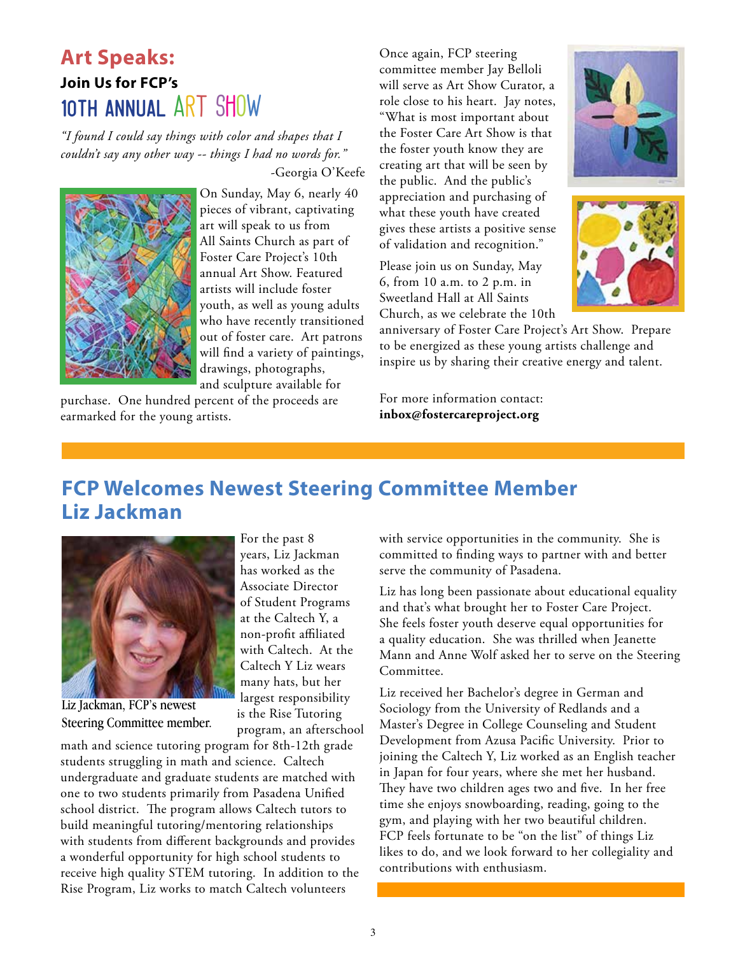### **Art Speaks: Join Us for FCP's**  10TH ANNUAL ART SHOW

*"I found I could say things with color and shapes that I couldn't say any other way -- things I had no words for."*  -Georgia O'Keefe



On Sunday, May 6, nearly 40 pieces of vibrant, captivating art will speak to us from All Saints Church as part of Foster Care Project's 10th annual Art Show. Featured artists will include foster youth, as well as young adults who have recently transitioned out of foster care. Art patrons will find a variety of paintings, drawings, photographs, and sculpture available for

purchase. One hundred percent of the proceeds are earmarked for the young artists.

Once again, FCP steering committee member Jay Belloli will serve as Art Show Curator, a role close to his heart. Jay notes, "What is most important about the Foster Care Art Show is that the foster youth know they are creating art that will be seen by the public. And the public's appreciation and purchasing of what these youth have created gives these artists a positive sense of validation and recognition."

Please join us on Sunday, May 6, from 10 a.m. to 2 p.m. in Sweetland Hall at All Saints Church, as we celebrate the 10th





anniversary of Foster Care Project's Art Show. Prepare to be energized as these young artists challenge and inspire us by sharing their creative energy and talent.

For more information contact: **inbox@fostercareproject.org**

### **FCP Welcomes Newest Steering Committee Member Liz Jackman**

For the past 8 years, Liz Jackman has worked as the Associate Director of Student Programs at the Caltech Y, a non-profit affiliated with Caltech. At the Caltech Y Liz wears many hats, but her largest responsibility is the Rise Tutoring



Liz Jackman, FCP's newest Steering Committee member.

program, an afterschool math and science tutoring program for 8th-12th grade students struggling in math and science. Caltech undergraduate and graduate students are matched with one to two students primarily from Pasadena Unified school district. The program allows Caltech tutors to build meaningful tutoring/mentoring relationships with students from different backgrounds and provides a wonderful opportunity for high school students to receive high quality STEM tutoring. In addition to the Rise Program, Liz works to match Caltech volunteers

with service opportunities in the community. She is committed to finding ways to partner with and better serve the community of Pasadena.

Liz has long been passionate about educational equality and that's what brought her to Foster Care Project. She feels foster youth deserve equal opportunities for a quality education. She was thrilled when Jeanette Mann and Anne Wolf asked her to serve on the Steering Committee.

Liz received her Bachelor's degree in German and Sociology from the University of Redlands and a Master's Degree in College Counseling and Student Development from Azusa Pacific University. Prior to joining the Caltech Y, Liz worked as an English teacher in Japan for four years, where she met her husband. They have two children ages two and five. In her free time she enjoys snowboarding, reading, going to the gym, and playing with her two beautiful children. FCP feels fortunate to be "on the list" of things Liz likes to do, and we look forward to her collegiality and contributions with enthusiasm.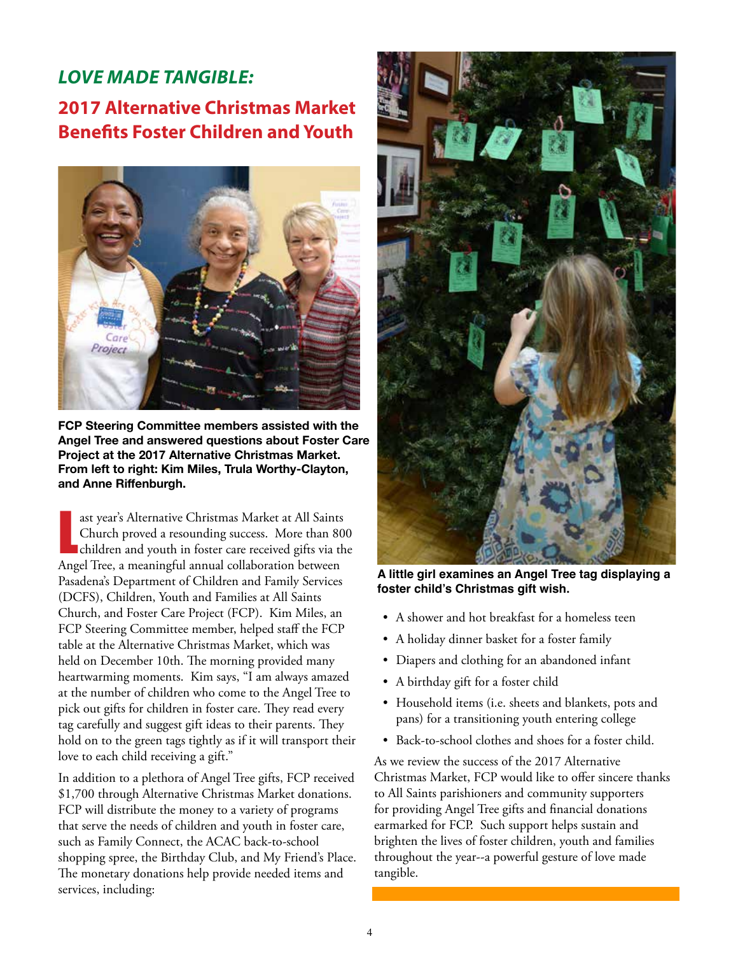### *LOVE MADE TANGIBLE:* **2017 Alternative Christmas Market Benefits Foster Children and Youth**



**FCP Steering Committee members assisted with the Angel Tree and answered questions about Foster Care Project at the 2017 Alternative Christmas Market. From left to right: Kim Miles, Trula Worthy-Clayton, and Anne Riffenburgh.**

ast year's Alternative Christmas Market at All Saints<br>Church proved a resounding success. More than 80<br>children and youth in foster care received gifts via th<br>Angel Tree, a meaningful annual collaboration between ast year's Alternative Christmas Market at All Saints Church proved a resounding success. More than 800 children and youth in foster care received gifts via the Pasadena's Department of Children and Family Services (DCFS), Children, Youth and Families at All Saints Church, and Foster Care Project (FCP). Kim Miles, an FCP Steering Committee member, helped staff the FCP table at the Alternative Christmas Market, which was held on December 10th. The morning provided many heartwarming moments. Kim says, "I am always amazed at the number of children who come to the Angel Tree to pick out gifts for children in foster care. They read every tag carefully and suggest gift ideas to their parents. They hold on to the green tags tightly as if it will transport their love to each child receiving a gift."

In addition to a plethora of Angel Tree gifts, FCP received \$1,700 through Alternative Christmas Market donations. FCP will distribute the money to a variety of programs that serve the needs of children and youth in foster care, such as Family Connect, the ACAC back-to-school shopping spree, the Birthday Club, and My Friend's Place. The monetary donations help provide needed items and services, including:



**A little girl examines an Angel Tree tag displaying a foster child's Christmas gift wish.**

- A shower and hot breakfast for a homeless teen
- A holiday dinner basket for a foster family
- Diapers and clothing for an abandoned infant
- A birthday gift for a foster child
- Household items (i.e. sheets and blankets, pots and pans) for a transitioning youth entering college
- Back-to-school clothes and shoes for a foster child.

As we review the success of the 2017 Alternative Christmas Market, FCP would like to offer sincere thanks to All Saints parishioners and community supporters for providing Angel Tree gifts and financial donations earmarked for FCP. Such support helps sustain and brighten the lives of foster children, youth and families throughout the year--a powerful gesture of love made tangible.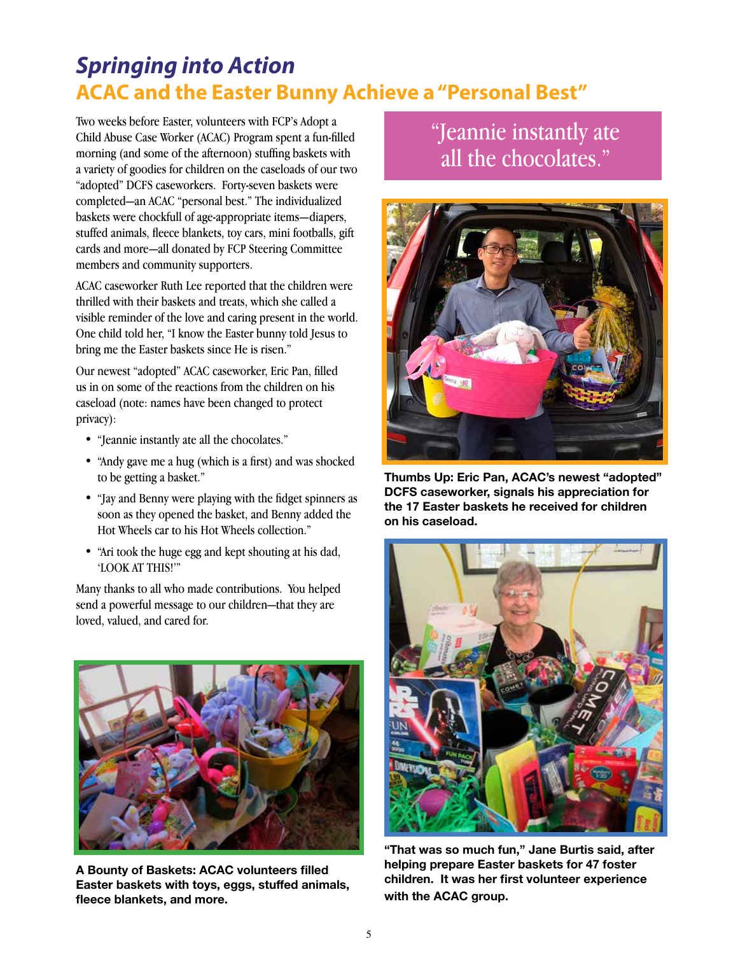## *Springing into Action* **ACAC and the Easter Bunny Achieve a "Personal Best"**

Two weeks before Easter, volunteers with FCP's Adopt a Child Abuse Case Worker (ACAC) Program spent a fun-filled morning (and some of the afternoon) stuffing baskets with a variety of goodies for children on the caseloads of our two "adopted" DCFS caseworkers. Forty-seven baskets were completed—an ACAC "personal best." The individualized baskets were chockfull of age-appropriate items—diapers, stuffed animals, fleece blankets, toy cars, mini footballs, gift cards and more—all donated by FCP Steering Committee members and community supporters.

ACAC caseworker Ruth Lee reported that the children were thrilled with their baskets and treats, which she called a visible reminder of the love and caring present in the world. One child told her, "I know the Easter bunny told Jesus to bring me the Easter baskets since He is risen."

Our newest "adopted" ACAC caseworker, Eric Pan, filled us in on some of the reactions from the children on his caseload (note: names have been changed to protect privacy):

- "Jeannie instantly ate all the chocolates."
- "Andy gave me a hug (which is a first) and was shocked to be getting a basket."
- "Jay and Benny were playing with the fidget spinners as soon as they opened the basket, and Benny added the Hot Wheels car to his Hot Wheels collection."
- "Ari took the huge egg and kept shouting at his dad, 'LOOK AT THIS!'"

Many thanks to all who made contributions. You helped send a powerful message to our children—that they are loved, valued, and cared for.



**A Bounty of Baskets: ACAC volunteers filled Easter baskets with toys, eggs, stuffed animals, fleece blankets, and more.**

"Jeannie instantly ate all the chocolates."



**Thumbs Up: Eric Pan, ACAC's newest "adopted" DCFS caseworker, signals his appreciation for the 17 Easter baskets he received for children on his caseload.**



**"That was so much fun," Jane Burtis said, after helping prepare Easter baskets for 47 foster children. It was her first volunteer experience with the ACAC group.**